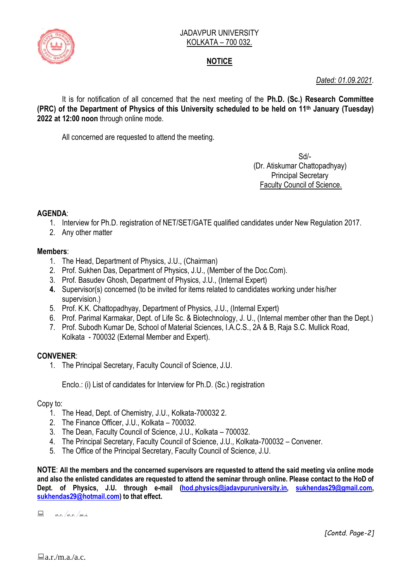

# **NOTICE**

*Dated: 01.09.2021.*

It is for notification of all concerned that the next meeting of the **Ph.D. (Sc.) Research Committee (PRC) of the Department of Physics of this University scheduled to be held on 11th January (Tuesday) 2022 at 12:00 noon** through online mode.

All concerned are requested to attend the meeting.

Sd/- (Dr. Atiskumar Chattopadhyay) Principal Secretary Faculty Council of Science.

## **AGENDA**:

- 1. Interview for Ph.D. registration of NET/SET/GATE qualified candidates under New Regulation 2017.
- 2. Any other matter

### **Members**:

- 1. The Head, Department of Physics, J.U., (Chairman)
- 2. Prof. Sukhen Das, Department of Physics, J.U., (Member of the Doc.Com).
- 3. Prof. Basudev Ghosh, Department of Physics, J.U., (Internal Expert)
- **4.** Supervisor(s) concerned (to be invited for items related to candidates working under his/her supervision.)
- 5. Prof. K.K. Chattopadhyay, Department of Physics, J.U., (Internal Expert)
- 6. Prof. Parimal Karmakar, Dept. of Life Sc. & Biotechnology, J. U., (Internal member other than the Dept.)
- 7. Prof. Subodh Kumar De, School of Material Sciences, I.A.C.S., 2A & B, Raja S.C. Mullick Road, Kolkata - 700032 (External Member and Expert).

## **CONVENER**:

1. The Principal Secretary, Faculty Council of Science, J.U.

Enclo.: (i) List of candidates for Interview for Ph.D. (Sc.) registration

#### Copy to:

- 1. The Head, Dept. of Chemistry, J.U., Kolkata-700032 2.
- 2. The Finance Officer, J.U., Kolkata 700032.
- 3. The Dean, Faculty Council of Science, J.U., Kolkata 700032.
- 4. The Principal Secretary, Faculty Council of Science, J.U., Kolkata-700032 Convener.
- 5. The Office of the Principal Secretary, Faculty Council of Science, J.U.

**NOTE**: **All the members and the concerned supervisors are requested to attend the said meeting via online mode and also the enlisted candidates are requested to attend the seminar through online. Please contact to the HoD of Dept. of Physics, J.U. through e-mail [\(hod.physics@jadavpuruniversity.in,](mailto:hod.physics@jadavpuruniversity.in) [sukhendas29@gmail.com,](mailto:sukhendas29@gmail.com) [sukhendas29@hotmail.com\)](mailto:sukhendas29@hotmail.com) to that effect.**

 $\Box$  a.e. /a.r. /m.s.